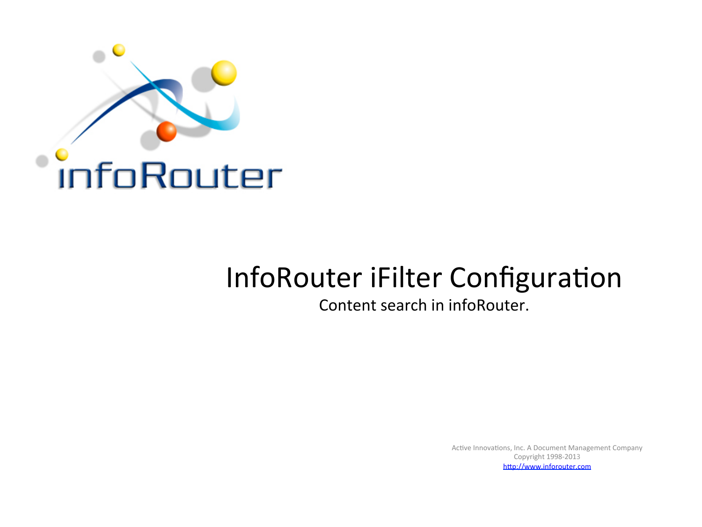

## InfoRouter iFilter Configuration

Content search in infoRouter.

Active Innovations, Inc. A Document Management Company Copyright 1998-2013 http://www.inforouter.com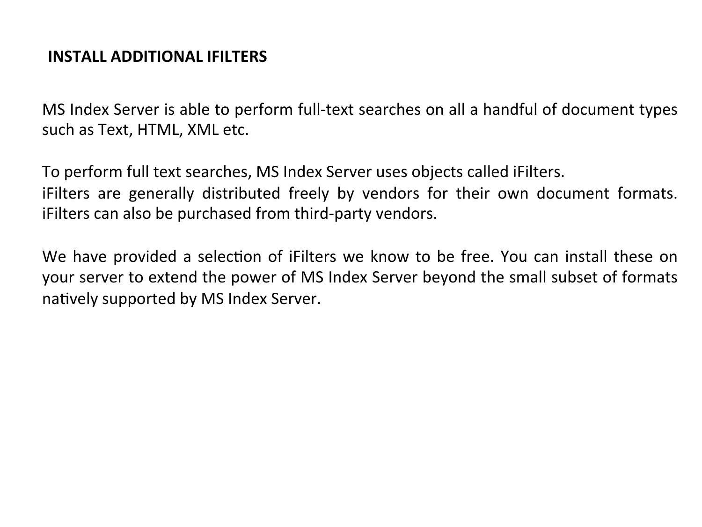## **INSTALL ADDITIONAL IFILTERS**

MS Index Server is able to perform full-text searches on all a handful of document types such as Text, HTML, XML etc.

To perform full text searches, MS Index Server uses objects called iFilters. iFilters are generally distributed freely by vendors for their own document formats. i Filters can also be purchased from third-party vendors.

We have provided a selection of iFilters we know to be free. You can install these on your server to extend the power of MS Index Server beyond the small subset of formats natively supported by MS Index Server.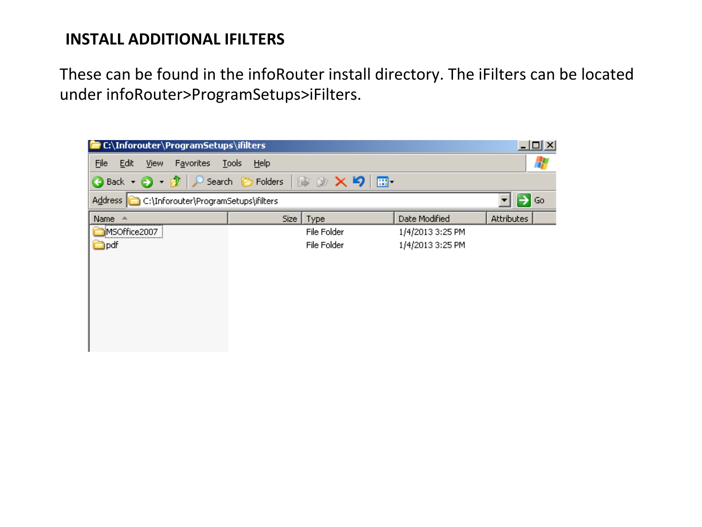## **INSTALL ADDITIONAL IFILTERS**

These can be found in the infoRouter install directory. The iFilters can be located under infoRouter>ProgramSetups>iFilters.

| E C:\Inforouter\ProgramSetups\ifilters                                                                   |                      |             |                  | <u> - 미지</u> |  |  |  |  |  |  |  |  |  |
|----------------------------------------------------------------------------------------------------------|----------------------|-------------|------------------|--------------|--|--|--|--|--|--|--|--|--|
| Eile<br>Edit<br>Favorites<br><b>View</b>                                                                 | <b>Tools</b><br>Help |             |                  |              |  |  |  |  |  |  |  |  |  |
| $\mathbb{R} \otimes \mathsf{X}$ 5<br>Search <b>P</b> Folders<br>⊞−<br>$\bigcirc$ Back $\cdot$ $\bigcirc$ |                      |             |                  |              |  |  |  |  |  |  |  |  |  |
| $\rightarrow$ Go<br>C:\Inforouter\ProgramSetups\ifilters<br>Address                                      |                      |             |                  |              |  |  |  |  |  |  |  |  |  |
| Name                                                                                                     | Size                 | Type        | Date Modified    | Attributes   |  |  |  |  |  |  |  |  |  |
| MSOffice2007<br>                                                                                         |                      | File Folder | 1/4/2013 3:25 PM |              |  |  |  |  |  |  |  |  |  |
| <b>in</b> pdf                                                                                            |                      | File Folder | 1/4/2013 3:25 PM |              |  |  |  |  |  |  |  |  |  |
|                                                                                                          |                      |             |                  |              |  |  |  |  |  |  |  |  |  |
|                                                                                                          |                      |             |                  |              |  |  |  |  |  |  |  |  |  |
|                                                                                                          |                      |             |                  |              |  |  |  |  |  |  |  |  |  |
|                                                                                                          |                      |             |                  |              |  |  |  |  |  |  |  |  |  |
|                                                                                                          |                      |             |                  |              |  |  |  |  |  |  |  |  |  |
|                                                                                                          |                      |             |                  |              |  |  |  |  |  |  |  |  |  |
|                                                                                                          |                      |             |                  |              |  |  |  |  |  |  |  |  |  |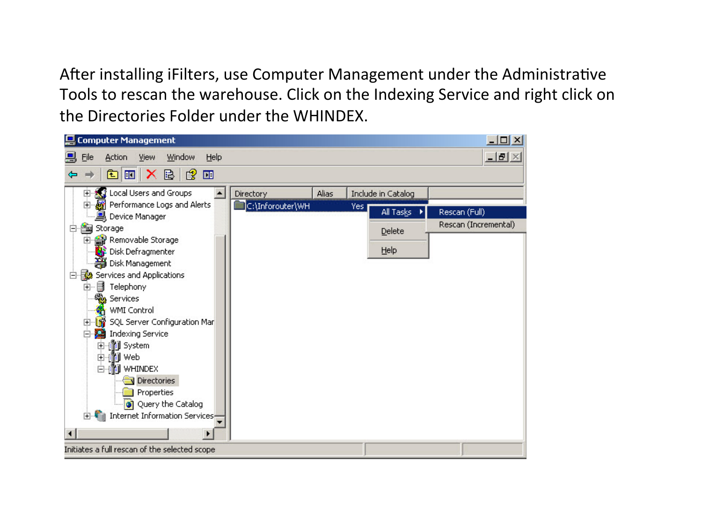After installing iFilters, use Computer Management under the Administrative Tools to rescan the warehouse. Click on the Indexing Service and right click on the Directories Folder under the WHINDEX.

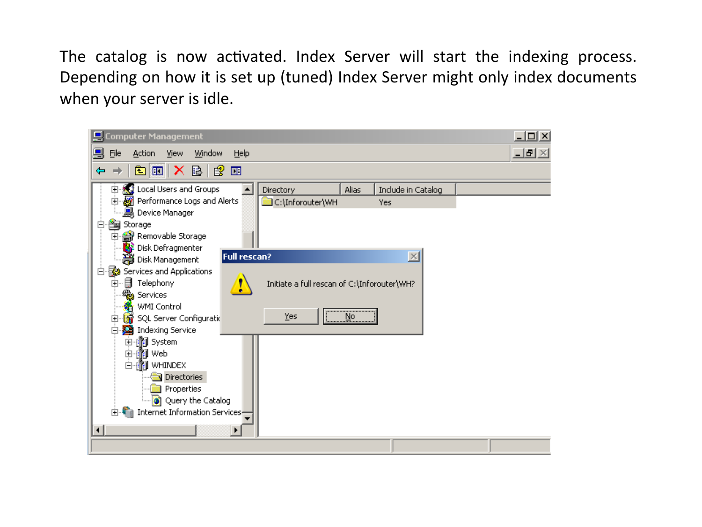The catalog is now activated. Index Server will start the indexing process. Depending on how it is set up (tuned) Index Server might only index documents when your server is idle.

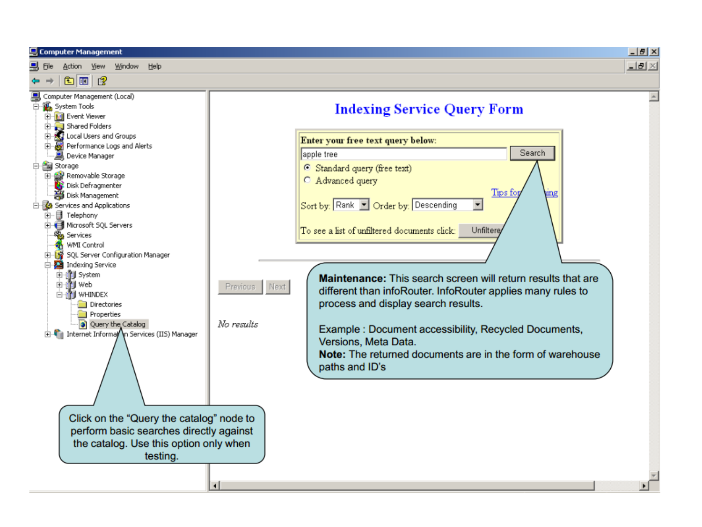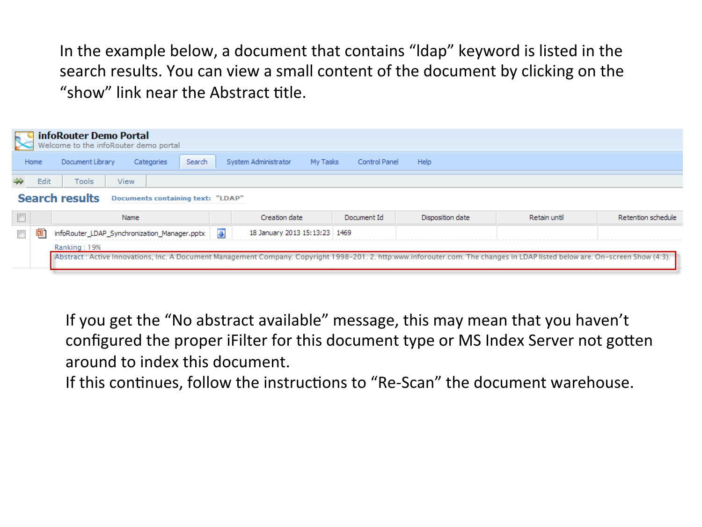In the example below, a document that contains "Idap" keyword is listed in the search results. You can view a small content of the document by clicking on the "show" link near the Abstract title.

| $\mathbb{R}$                                               |      | infoRouter Demo Portal<br>Welcome to the infoRouter demo portal |                |                                  |               |                  |              |                    |  |  |  |
|------------------------------------------------------------|------|-----------------------------------------------------------------|----------------|----------------------------------|---------------|------------------|--------------|--------------------|--|--|--|
|                                                            | Home | Document Library<br><b>Categories</b><br>Search                 |                | System Administrator<br>My Tasks | Control Panel | Help             |              |                    |  |  |  |
|                                                            | Edit | Tools<br>View                                                   |                |                                  |               |                  |              |                    |  |  |  |
| <b>Search results</b><br>Documents containing text: "LDAP" |      |                                                                 |                |                                  |               |                  |              |                    |  |  |  |
|                                                            |      |                                                                 |                |                                  |               |                  |              |                    |  |  |  |
| $\blacksquare$                                             |      | Name                                                            |                | Creation date                    | Document Id   | Disposition date | Retain until | Retention schedule |  |  |  |
| $\overline{\phantom{a}}$                                   | 01   | infoRouter_LDAP_Synchronization_Manager.pptx                    | $\overline{a}$ | 18 January 2013 15:13:23 1469    |               |                  |              |                    |  |  |  |
|                                                            |      | Ranking: 19%                                                    |                |                                  |               |                  |              |                    |  |  |  |

If you get the "No abstract available" message, this may mean that you haven't configured the proper iFilter for this document type or MS Index Server not gotten around to index this document.

If this continues, follow the instructions to "Re-Scan" the document warehouse.